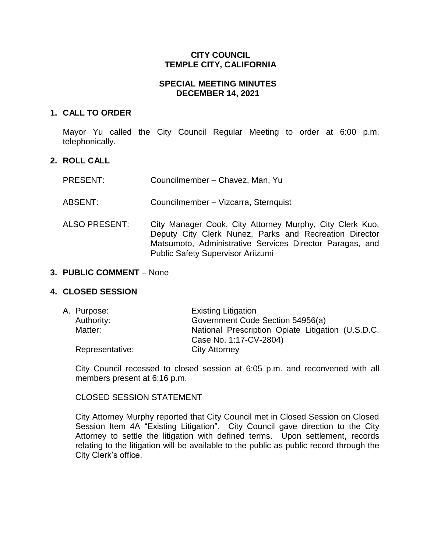### **CITY COUNCIL TEMPLE CITY, CALIFORNIA**

### **SPECIAL MEETING MINUTES DECEMBER 14, 2021**

### **1. CALL TO ORDER**

Mayor Yu called the City Council Regular Meeting to order at 6:00 p.m. telephonically.

## **2. ROLL CALL**

| <b>PRESENT:</b> | Councilmember - Chavez, Man, Yu                                                                                                                                                                                            |
|-----------------|----------------------------------------------------------------------------------------------------------------------------------------------------------------------------------------------------------------------------|
| ABSENT:         | Councilmember - Vizcarra, Sternquist                                                                                                                                                                                       |
| ALSO PRESENT:   | City Manager Cook, City Attorney Murphy, City Clerk Kuo,<br>Deputy City Clerk Nunez, Parks and Recreation Director<br>Matsumoto, Administrative Services Director Paragas, and<br><b>Public Safety Supervisor Ariizumi</b> |

#### **3. PUBLIC COMMENT** – None

### **4. CLOSED SESSION**

| A. Purpose:     | <b>Existing Litigation</b>                        |
|-----------------|---------------------------------------------------|
| Authority:      | Government Code Section 54956(a)                  |
| Matter:         | National Prescription Opiate Litigation (U.S.D.C. |
|                 | Case No. 1:17-CV-2804)                            |
| Representative: | <b>City Attorney</b>                              |

City Council recessed to closed session at 6:05 p.m. and reconvened with all members present at 6:16 p.m.

### CLOSED SESSION STATEMENT

City Attorney Murphy reported that City Council met in Closed Session on Closed Session Item 4A "Existing Litigation". City Council gave direction to the City Attorney to settle the litigation with defined terms. Upon settlement, records relating to the litigation will be available to the public as public record through the City Clerk's office.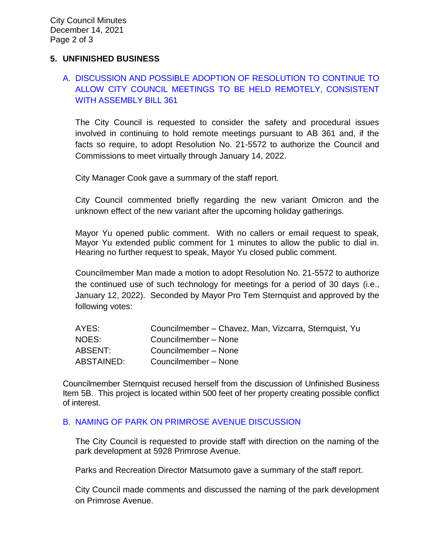### **5. UNFINISHED BUSINESS**

# A. [DISCUSSION AND POSSIBLE ADOPTION OF RESOLUTION TO CONTINUE TO](https://www.ci.temple-city.ca.us/DocumentCenter/View/17097/02-5A_Remote-Meeting_Staff-Report_final-w-attachment)  [ALLOW CITY COUNCIL MEETINGS TO BE HELD REMOTELY, CONSISTENT](https://www.ci.temple-city.ca.us/DocumentCenter/View/17097/02-5A_Remote-Meeting_Staff-Report_final-w-attachment)  [WITH ASSEMBLY BILL 361](https://www.ci.temple-city.ca.us/DocumentCenter/View/17097/02-5A_Remote-Meeting_Staff-Report_final-w-attachment)

The City Council is requested to consider the safety and procedural issues involved in continuing to hold remote meetings pursuant to AB 361 and, if the facts so require, to adopt Resolution No. 21-5572 to authorize the Council and Commissions to meet virtually through January 14, 2022.

City Manager Cook gave a summary of the staff report.

City Council commented briefly regarding the new variant Omicron and the unknown effect of the new variant after the upcoming holiday gatherings.

Mayor Yu opened public comment. With no callers or email request to speak, Mayor Yu extended public comment for 1 minutes to allow the public to dial in. Hearing no further request to speak, Mayor Yu closed public comment.

Councilmember Man made a motion to adopt Resolution No. 21-5572 to authorize the continued use of such technology for meetings for a period of 30 days (i.e., January 12, 2022). Seconded by Mayor Pro Tem Sternquist and approved by the following votes:

| AYES:      | Councilmember – Chavez, Man, Vizcarra, Sternquist, Yu |
|------------|-------------------------------------------------------|
| NOES:      | Councilmember - None                                  |
| ABSENT:    | Councilmember - None                                  |
| ABSTAINED: | Councilmember - None                                  |

Councilmember Sternquist recused herself from the discussion of Unfinished Business Item 5B. This project is located within 500 feet of her property creating possible conflict of interest.

### B. [NAMING OF PARK ON PRIMROSE AVENUE DISCUSSION](https://www.ci.temple-city.ca.us/DocumentCenter/View/17096/03-5B_Park-Naming_Staff-Report)

The City Council is requested to provide staff with direction on the naming of the park development at 5928 Primrose Avenue.

Parks and Recreation Director Matsumoto gave a summary of the staff report.

City Council made comments and discussed the naming of the park development on Primrose Avenue.